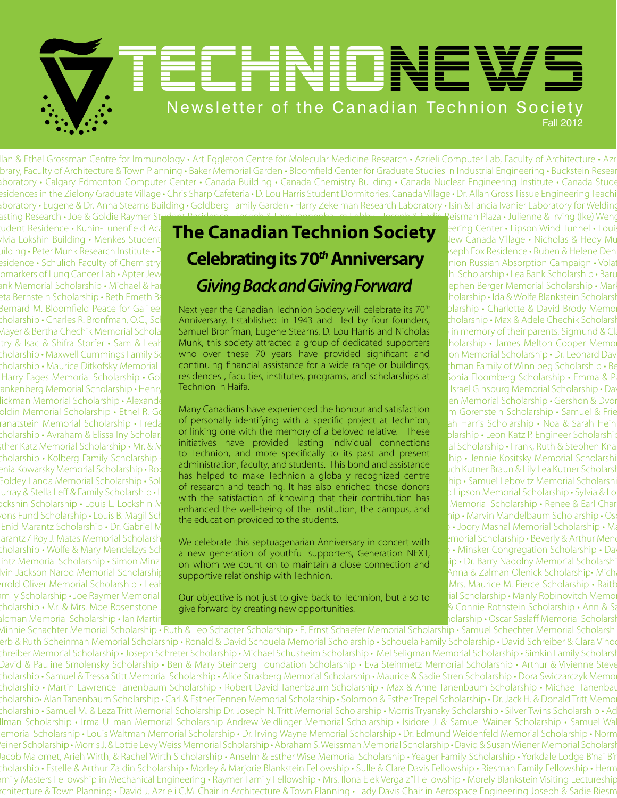# Newsletter of the Canadian Technion Society Fall 2012 TENDNEWS

lan & Ethel Grossman Centre for Immunology • Art Eggleton Centre for Molecular Medicine Research • Azrieli Computer Lab, Faculty of Architecture • Azr brary, Faculty of Architecture & Town Planning • Baker Memorial Garden • Bloomfield Center for Graduate Studies in Industrial Engineering • Buckstein Resear **aboratory • Calgary Edmonton Computer Center • Canada Building • Canada Chemistry Building • Canada Nuclear Engineering Institute • Canada Stude** esidences in the Zielony Graduate Village • Chris Sharp Cafeteria • D. Lou Harris Student Dormitories, Canada Village • Dr. Allan Gross Tissue Engineering Teachi Laboratory • Eugene & Dr. Anna Stearns Building • Goldberg Family Garden • Harry Zekelman Research Laboratory • Isin & Fancia Ivanier Laboratory for Welding &

asting Research • Joe & Goldie Raymer St<del>udent Residence • Joseph & Faye Tannenbaum Lobby • Joseph & Sadie R</del>eisman Plaza • Julienne & Irving (Ike) Weng

#### udent Residence • Kunin-Lunenfield Aca $\Gamma$ The  $\Gamma$ anadian Technicn Society  $\;$ eering Center • Lipson Wind Tunnel • Louis udent Residence • Kunin-Lunenfield Acantelle Canadian Technion Society Reging Center • Lipson Wind Tunnel • Louis<br>Avia Lokshin Building • Menkes Studenter **The Canadian Technion Society** Rew Canada Village • Nicholas & Hed building • Peter Munk Research Institute • Philip Smith Auditorium • Reisman Plaza • Rosa • Ruben & Morris Dennis Building • Peter Munk Research Institute • Philip Smith Auditorium • Rosa & Joseph Fox Residence • Ruben & H Residence • Schulich Faculty of Chemistry **• Celebrating its 70<sup>th</sup> Anniversary • Seph Fox Residence • Ruben & Helene Den**<br>Inion Russian Absorption Campaign • Volation Russian Absorption Campaign • Volation Russian Absorpt Biomarkers of Lung Cancer Lab • Apter Jewish Kehila Memorial Scholarship • Zeidan Atashi Scholarship • Zeidan Atashi Scholarship • Lea Bank Scholarship • Baruch ank Memorial Scholarship • Michael & Fail **Giving Back and Giving Forward** Pephen Berger Memorial Scholarship • Marl & Tail & Giving Back and Giving Forward

Bernard M. Bloomfield Peace for Galileen Next year the Canadian Technion Society will celebrate its 70<sup>th</sup> plarship • Charlotte & David Brody Memo : holarship • Charles R. Bronfman, O.C., Scholarship Anniversary. Established in 1943 and led by four founders, cholarship • Max & Adele Chechik Scholarsh Mayer & Bertha Chechik Memorial Schola**rt Samuel Bronfman, Eugene Stearns, D. Lou Harris and Nicholas** by in memory of their parents, Sigmund & Cla try & Isac & Shifra Storfer • Sam & Leah Munk, this society attracted a group of dedicated supporters holarship • James Melton Cooper Memor : holarship • Maxwell Cummings Family Scholarship video ver these 70 years have provided significant and som Memorial Scholarship • Dr. Leonard Davies 10 avies 10 avies 10 avies 10 avies 10 avies 10 avies 10 avies 10 avies tholarship • Maurice Ditkofsky Memorial **Continuing financial assistance for a wide range or buildings, Than Family of Winnipeg Scholarship • Belle Scholarship • Belle Scholarship • Belle Scholarship • Belle Scholarship •** Harry Fages Memorial Scholarship • Goldie residences, faculties, institutes, programs, and scholarships at Sonia Floomberg Scholarship • Emma & Paul 1 ankenberg Memorial Scholarship • Henry Fr**echnion in Haifa.** The man Memorial Scholarship • David Memorial Scholarship • David Memorial Scholarship • Da Technion in Haifa.

oldin Memorial Scholarship • Ethel R. Goldmany Canadians have experienced the honour and satisfaction and Gorenstein Scholarship • Samuel & Frie ranatstein Memorial Scholarship • Fredand of personally identifying with a specific project at Technion, what Harris Scholarship • Noa & Sarah Hein Scholarship • Avraham & Elissa Iny Scholarship **Forman or linking one with the memory of a beloved relative. These** Jarship • Leon Katz P. Engineer Scholarship  $\frac{1}{100}$  Memorial Scholarship • Mr. & Must initiatives have provided lasting individual connections and Scholarship • Frank, Ruth & Stephen Kna Scholarship • Kolberg Family Scholarship • Henry Korenblum Memorial Scholarship • Jennie Kositsky Memorial Scholarship • Jennie Kositsky Memorial Scholarship • Jennie Kositsky Memorial Scholarship • Jennie Kositsky Memoria enia Kowarsky Memorial Scholarship • Roberta-Rochelle Kremer Scholarship van Suudenis. This pond and assistance<br>Parameter Scholarship • Rochelle G. J. Shoped to make Technica, a globally recessized centre Goldey Landa Memorial Scholarship • Solomon H. Lassman Memorial Scholarship version Memorial Scholarship • Samuel Lebovitz Memorial Scholarship • Samuel Lebovitz Memorial Scholarship • Samuel Lebovitz Memorial Scholarship urray & Stella Leff & Family Scholarship • Liza Leibovito Herborial Scholarship • Chaim Lewin Scholarship • Chaim Lewin Scholarship • Chaim Lewin Scholarship • Chaim Grieferties and Libson Memorial Scholarship • Sylvia & L vckshin Scholarship • Louis L. Lockshin Memorial Scholarship • Renee & Earl Charles Family Scholarship • Samuel Being of the institution the continuum only Memorial Scholarship • Renee & Earl Charles Tartet in the continuu  $\sum_{i=1}^{\infty}$  Mila Scholarship • Louis B. Magil Scholarship • Mila  $\sum_{i=1}^{\infty}$  on  $\sum_{i=1}^{\infty}$  or  $\sum_{i=1}^{\infty}$  of useful provided to the students of the students of the students of the students of the students of to Technion, and more specifically to its past and present administration, faculty, and students. This bond and assistance has helped to make Technion a globally recognized centre of research and teaching. It has also enriched those donors with the satisfaction of knowing that their contribution has enhanced the well-being of the institution, the campus, and the education provided to the students.

arantz / Roy J. Matas Memorial Scholarship **• We celebrate this septuagenarian Anniversary in concert with behind Scholarship • Beverly & Arthur Mendel and the process of the second term of the concert with the process of**  $\mathbb{R}$  Scholarship • Wolfe & Mary Mendelzys Scholarship • The extensive and supporters, Generation NEXT, and Minsker Congregation Scholarship • David a new generation of youthful supporters, Generation NEXT, and Minsker intz Memorial Scholarship • Simon Minz **Framily Amily American Memorial Memorial Memorial Scholarship variable Memorial Scholarship • Dr. Barry Nadolny Memorial Scholarship • Dr. Barry Nadolny Memorial Scholarship • Dr. B** vin Jackson Narod Memorial Scholarship • Supportive relationship with Technion • Support Scholarship • Michael Bront Scholarship • Mich supportive relationship with Technion.

imily Scholarship • Joe Raymer Memorial **Our objective is not just to give back to Technion, but also to** and Scholarship • Manly Robinovitch Memor Scholarship • Mr. & Mrs. Moe Rosenstone Scholarship • Ann & Samuel Cholarship • Ann & Samuel Rothstein Scholarship • Ann & Samuel Rothstein Scholarship • Ann & Samuel Rothstein Scholarship • Ann & Samuel Rothstein Scholars give forward by creating new opportunities.

Zeta Bernstein Scholarship • Beth Emeth Bais Yehuda Synagogue Scholarship • Frank & Goldie Billinkoff Memorial Scholarship • Ida & Wolfe Blankstein Scholarship Glickman Memorial Scholarship • Alexander Goldberg Scholarship Scholarship • Gershon & Dvorah Goldberg Scholarship • Gershon & Dvor Enid Marantz Scholarship • Dr. Gabriel Markovitz Memorial Scholarship • Memorial Scholarship • Markovitz Memorial Scholarship • Markovitz Memorial Scholarship • Markovitz Memorial Scholarship • Markovitz Memorial Scholarsh In Sarna-Orenstein Scholarship • Leah Sarna-Orenstein Scholarship • Dr. & Mrs. Maurice M. Pierce Scholarship • Raitb Salcman Memorial Scholarship • Ian Martin Samis Memorial Scholarship • Samuel Cooney Samuelson Memorial Scholarship • Oscar Saslaff Memorial Scholarship

Minnie Schachter Memorial Scholarship • Ruth & Leo Schacter Scholarship • E. Ernst Schaefer Memorial Scholarship • Samuel Schechter Memorial Scholarsh erb & Ruth Scheinman Memorial Scholarship • Ronald & David Schouela Memorial Scholarship • Schouela Family Scholarship • David Schreiber & Clara Vino Schreiber Memorial Scholarship • Joseph Schreter Scholarship • Michael Schusheim Scholarship • Mel Seligman Memorial Scholarship • Simkin Family Scholarship David & Pauline Smolensky Scholarship • Ben & Mary Steinberg Foundation Scholarship • Eva Steinmetz Memorial Scholarship • Arthur & Vivienne Steve Scholarship • Samuel & Tressa Stitt Memorial Scholarship • Alice Strasberg Memorial Scholarship • Maurice & Sadie Stren Scholarship • Dora Swiczarczyk Memorial Scholarship • Martin Lawrence Tanenbaum Scholarship • Robert David Tanenbaum Scholarship • Max & Anne Tanenbaum Scholarship • Michael Tanenbaum Scholarship• Alan Tanenbaum Scholarship • Carl & Esther Tennen Memorial Scholarship • Solomon & Esther Trepel Scholarship • Dr. Jack H. & Donald Tritt Memorial Scholarship • Samuel M. & Leza Tritt Memorial Scholarship Dr. Joseph N. Tritt Memorial Scholarship • Morris Tryansky Scholarship • Silver Twins Scholarship • Ac Ilman Scholarship • Irma Ullman Memorial Scholarship Andrew Veidlinger Memorial Scholarship • Isidore J. & Samuel Wainer Scholarship • Samuel Wa emorial Scholarship • Louis Waltman Memorial Scholarship • Dr. Irving Wayne Memorial Scholarship • Dr. Edmund Weidenfeld Memorial Scholarship • Norm Weiner Scholarship • Morris J. & Lottie Levy Weiss Memorial Scholarship • Abraham S. Weissman Memorial Scholarship • David & Susan Wiener Memorial Scholarship • Jacob Malomet, Arieh Wirth, & Rachel Wirth S cholarship • Anselm & Esther Wise Memorial Scholarship • Yeager Family Scholarship • Yorkdale Lodge B'nai B'rith Scholarship • Estelle & Arthur Zaldin Scholarship • Morley & Marjorie Blankstein Fellowship • Sulle & Clare Davis Fellowship • Riesman Family Fellowship • Herman Family Masters Fellowship in Mechanical Engineering • Raymer Family Fellowship • Mrs. Ilona Elek Verga z"l Fellowship • Morely Blankstein Visiting Lectureship in Architecture & Town Planning • David J. Azrieli C.M. Chair in Architecture & Town Planning • Lady Davis Chair in Aerospace Engineering Joseph & Sadie Riesman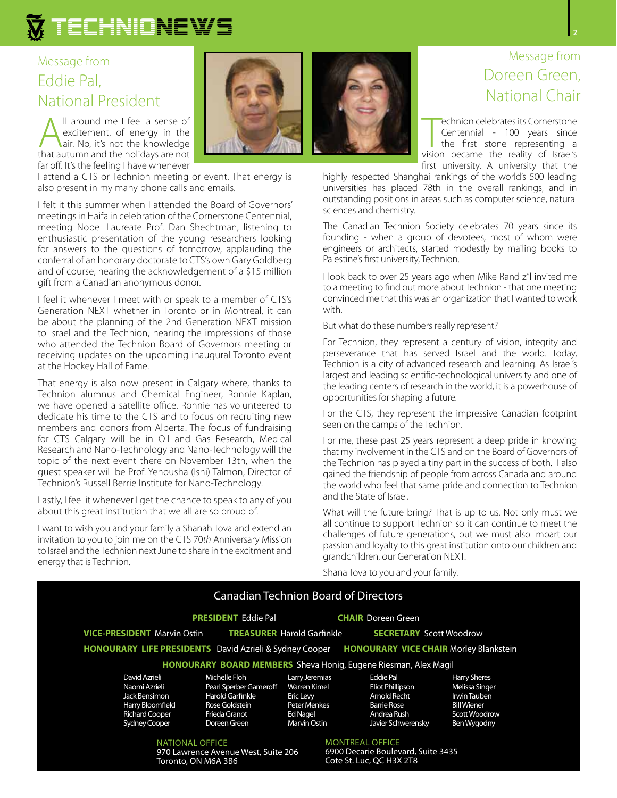#### Message from Eddie Pal, National President

All around me I feel a sense of<br>excitement, of energy in the<br>air. No, it's not the knowledge<br>that autumn and the holidays are not excitement, of energy in the that autumn and the holidays are not far off. It's the feeling I have whenever

I attend a CTS or Technion meeting or event. That energy is also present in my many phone calls and emails.

I felt it this summer when I attended the Board of Governors' meetings in Haifa in celebration of the Cornerstone Centennial, meeting Nobel Laureate Prof. Dan Shechtman, listening to enthusiastic presentation of the young researchers looking for answers to the questions of tomorrow, applauding the conferral of an honorary doctorate to CTS's own Gary Goldberg and of course, hearing the acknowledgement of a \$15 million gift from a Canadian anonymous donor.

I feel it whenever I meet with or speak to a member of CTS's Generation NEXT whether in Toronto or in Montreal, it can be about the planning of the 2nd Generation NEXT mission to Israel and the Technion, hearing the impressions of those who attended the Technion Board of Governors meeting or receiving updates on the upcoming inaugural Toronto event at the Hockey Hall of Fame.

That energy is also now present in Calgary where, thanks to Technion alumnus and Chemical Engineer, Ronnie Kaplan, we have opened a satellite office. Ronnie has volunteered to dedicate his time to the CTS and to focus on recruiting new members and donors from Alberta. The focus of fundraising for CTS Calgary will be in Oil and Gas Research, Medical Research and Nano-Technology and Nano-Technology will the topic of the next event there on November 13th, when the guest speaker will be Prof. Yehousha (Ishi) Talmon, Director of Technion's Russell Berrie Institute for Nano-Technology.

Lastly, I feel it whenever I get the chance to speak to any of you about this great institution that we all are so proud of.

I want to wish you and your family a Shanah Tova and extend an invitation to you to join me on the CTS 70*th* Anniversary Mission to Israel and the Technion next June to share in the excitment and energy that is Technion.



#### Message from Doreen Green, National Chair

echnion celebrates its Cornerstone<br>
Centennial - 100 years since<br>
the first stone representing a<br>
vision became the reality of Israel's echnion celebrates its Cornerstone Centennial - 100 years since the first stone representing a first university. A university that the

highly respected Shanghai rankings of the world's 500 leading universities has placed 78th in the overall rankings, and in outstanding positions in areas such as computer science, natural sciences and chemistry.

The Canadian Technion Society celebrates 70 years since its founding - when a group of devotees, most of whom were engineers or architects, started modestly by mailing books to Palestine's first university, Technion.

I look back to over 25 years ago when Mike Rand z"l invited me to a meeting to find out more about Technion - that one meeting convinced me that this was an organization that I wanted to work with.

But what do these numbers really represent?

For Technion, they represent a century of vision, integrity and perseverance that has served Israel and the world. Today, Technion is a city of advanced research and learning. As Israel's largest and leading scientific-technological university and one of the leading centers of research in the world, it is a powerhouse of opportunities for shaping a future.

For the CTS, they represent the impressive Canadian footprint seen on the camps of the Technion.

For me, these past 25 years represent a deep pride in knowing that my involvement in the CTS and on the Board of Governors of the Technion has played a tiny part in the success of both. I also gained the friendship of people from across Canada and around the world who feel that same pride and connection to Technion and the State of Israel.

What will the future bring? That is up to us. Not only must we all continue to support Technion so it can continue to meet the challenges of future generations, but we must also impart our passion and loyalty to this great institution onto our children and grandchildren, our Generation NEXT.

Shana Tova to you and your family.

|                                                                                                                      | <b>Canadian Technion Board of Directors</b>                                                                    |                                                                                                |                                                                                           |                    |                                                                                                             |
|----------------------------------------------------------------------------------------------------------------------|----------------------------------------------------------------------------------------------------------------|------------------------------------------------------------------------------------------------|-------------------------------------------------------------------------------------------|--------------------|-------------------------------------------------------------------------------------------------------------|
|                                                                                                                      | <b>PRESIDENT Eddie Pal</b>                                                                                     |                                                                                                | <b>CHAIR</b> Doreen Green                                                                 |                    |                                                                                                             |
| <b>TREASURER Harold Garfinkle</b><br><b>VICE-PRESIDENT</b> Marvin Ostin                                              |                                                                                                                | <b>SECRETARY</b> Scott Woodrow                                                                 |                                                                                           |                    |                                                                                                             |
| <b>HONOURARY LIFE PRESIDENTS</b> David Azrieli & Sydney Cooper                                                       |                                                                                                                |                                                                                                |                                                                                           |                    | <b>HONOURARY VICE CHAIR Morley Blankstein</b>                                                               |
|                                                                                                                      | HONOURARY BOARD MEMBERS Sheva Honig, Eugene Riesman, Alex Magil                                                |                                                                                                |                                                                                           |                    |                                                                                                             |
| David Azrieli<br>Naomi Azrieli<br>Jack Bensimon<br>Harry Bloomfield<br><b>Richard Cooper</b><br><b>Sydney Cooper</b> | Michelle Floh<br>Pearl Sperber Gameroff<br>Harold Garfinkle<br>Rose Goldstein<br>Frieda Granot<br>Doreen Green | Larry Jeremias<br>Warren Kimel<br>Eric Levy<br>Peter Menkes<br><b>Ed Nagel</b><br>Marvin Ostin | Eddie Pal<br><b>Eliot Phillipson</b><br>Arnold Recht<br><b>Barrie Rose</b><br>Andrea Rush | Javier Schwerensky | <b>Harry Sheres</b><br>Melissa Singer<br>Irwin Tauben<br><b>Bill Wiener</b><br>Scott Woodrow<br>Ben Wygodny |
| NATIONAL OFFICE<br>970 Lawrence Avenue West, Suite 206<br>Toronto, ON M6A 3B6                                        |                                                                                                                |                                                                                                | <b>MONTREAL OFFICE</b><br>6900 Decarie Boulevard, Suite 3435<br>Cote St. Luc. OC H3X 2T8  |                    |                                                                                                             |

**2**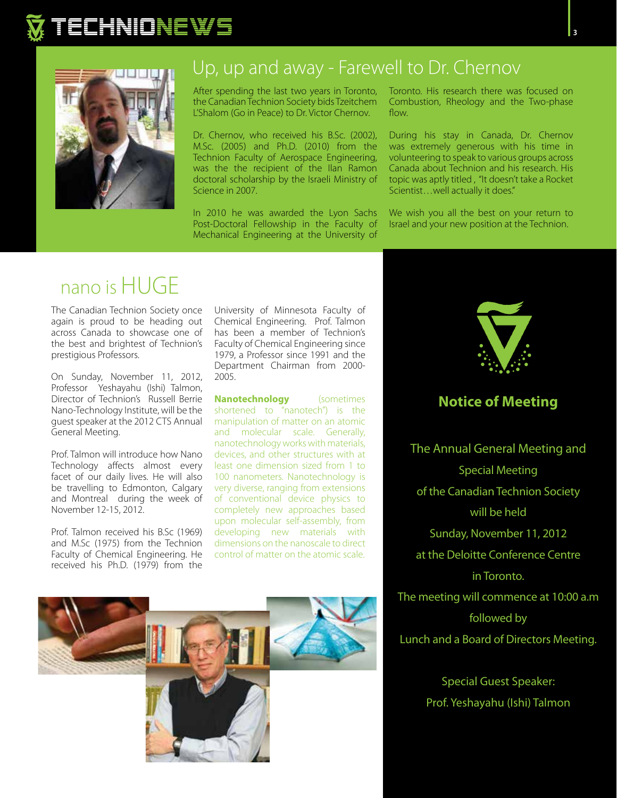



### Up, up and away - Farewell to Dr. Chernov

After spending the last two years in Toronto, the Canadian Technion Society bids Tzeitchem L'Shalom (Go in Peace) to Dr. Victor Chernov.

Dr. Chernov, who received his B.Sc. (2002), M.Sc. (2005) and Ph.D. (2010) from the Technion Faculty of Aerospace Engineering, was the the recipient of the Ilan Ramon doctoral scholarship by the Israeli Ministry of Science in 2007.

In 2010 he was awarded the Lyon Sachs Post-Doctoral Fellowship in the Faculty of Mechanical Engineering at the University of Toronto. His research there was focused on Combustion, Rheology and the Two-phase flow.

During his stay in Canada, Dr. Chernov was extremely generous with his time in volunteering to speak to various groups across Canada about Technion and his research. His topic was aptly titled , "It doesn't take a Rocket Scientist…well actually it does."

We wish you all the best on your return to Israel and your new position at the Technion.

## nano is HUGE

The Canadian Technion Society once again is proud to be heading out across Canada to showcase one of the best and brightest of Technion's prestigious Professors.

On Sunday, November 11, 2012, Professor Yeshayahu (Ishi) Talmon, Director of Technion's Russell Berrie Nano-Technology Institute, will be the guest speaker at the 2012 CTS Annual General Meeting.

Prof. Talmon will introduce how Nano Technology affects almost every facet of our daily lives. He will also be travelling to Edmonton, Calgary and Montreal during the week of November 12-15, 2012.

Prof. Talmon received his B.Sc (1969) and M.Sc (1975) from the Technion Faculty of Chemical Engineering. He received his Ph.D. (1979) from the

University of Minnesota Faculty of Chemical Engineering. Prof. Talmon has been a member of Technion's Faculty of Chemical Engineering since 1979, a Professor since 1991 and the Department Chairman from 2000- 2005.

**Nanotechnology** (sometimes shortened to "nanotech") is the manipulation of matter on an atomic and molecular scale. Generally, nanotechnology works with materials, devices, and other structures with at least one dimension sized from 1 to 100 nanometers. Nanotechnology is very diverse, ranging from extensions of conventional device physics to completely new approaches based upon molecular self-assembly, from developing new materials with dimensions on the nanoscale to direct control of matter on the atomic scale.





#### **Notice of Meeting**

The Annual General Meeting and Special Meeting of the Canadian Technion Society will be held Sunday, November 11, 2012 at the Deloitte Conference Centre in Toronto. The meeting will commence at 10:00 a.m followed by Lunch and a Board of Directors Meeting.

> Special Guest Speaker: Prof. Yeshayahu (Ishi) Talmon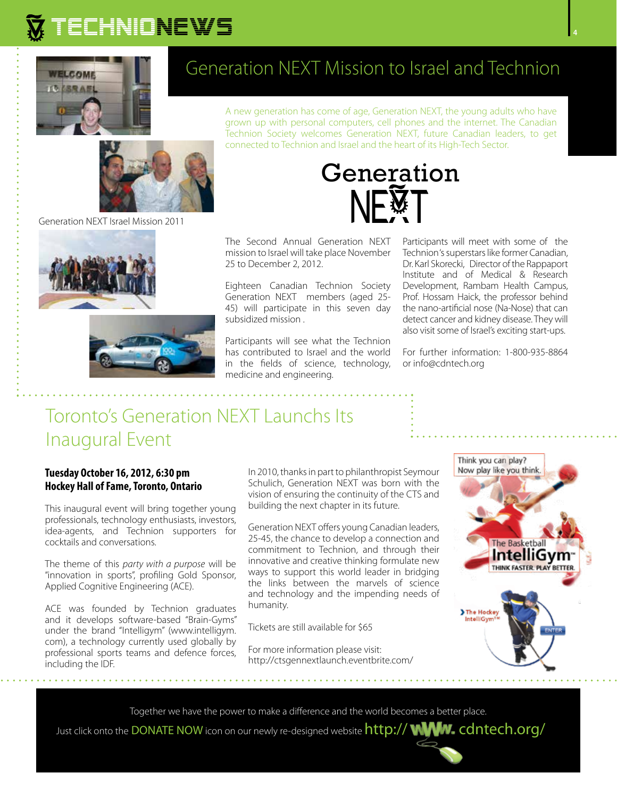

#### Generation NEXT Israel Mission 2011



### Generation NEXT Mission to Israel and Technion

A new generation has come of age, Generation NEXT, the young adults who have grown up with personal computers, cell phones and the internet. The Canadian Technion Society welcomes Generation NEXT, future Canadian leaders, to get connected to Technion and Israel and the heart of its High-Tech Sector.



The Second Annual Generation NEXT mission to Israel will take place November 25 to December 2, 2012.

Eighteen Canadian Technion Society Generation NEXT members (aged 25- 45) will participate in this seven day subsidized mission .

Participants will see what the Technion has contributed to Israel and the world in the fields of science, technology, medicine and engineering.

Participants will meet with some of the Technion 's superstars like former Canadian, Dr. Karl Skorecki, Director of the Rappaport Institute and of Medical & Research Development, Rambam Health Campus, Prof. Hossam Haick, the professor behind the nano-artificial nose (Na-Nose) that can detect cancer and kidney disease. They will also visit some of Israel's exciting start-ups.

For further information: 1-800-935-8864 or info@cdntech.org

### Toronto's Generation NEXT Launchs Its Inaugural Event

#### **Tuesday October 16, 2012, 6:30 pm Hockey Hall of Fame, Toronto, Ontario**

This inaugural event will bring together young professionals, technology enthusiasts, investors, idea-agents, and Technion supporters for cocktails and conversations.

The theme of this *party with a purpose* will be "innovation in sports", profiling Gold Sponsor, Applied Cognitive Engineering (ACE).

ACE was founded by Technion graduates and it develops software-based "Brain-Gyms" under the brand "Intelligym" (www.intelligym. com), a technology currently used globally by professional sports teams and defence forces, including the IDF.

In 2010, thanks in part to philanthropist Seymour Schulich, Generation NEXT was born with the vision of ensuring the continuity of the CTS and building the next chapter in its future.

Generation NEXT offers young Canadian leaders, 25-45, the chance to develop a connection and commitment to Technion, and through their innovative and creative thinking formulate new ways to support this world leader in bridging the links between the marvels of science and technology and the impending needs of humanity.

Tickets are still available for \$65

For more information please visit: http://ctsgennextlaunch.eventbrite.com/



Together we have the power to make a difference and the world becomes a better place.

Just click onto the DONATE NOW icon on our newly re-designed website http:// WWW.cdntech.org/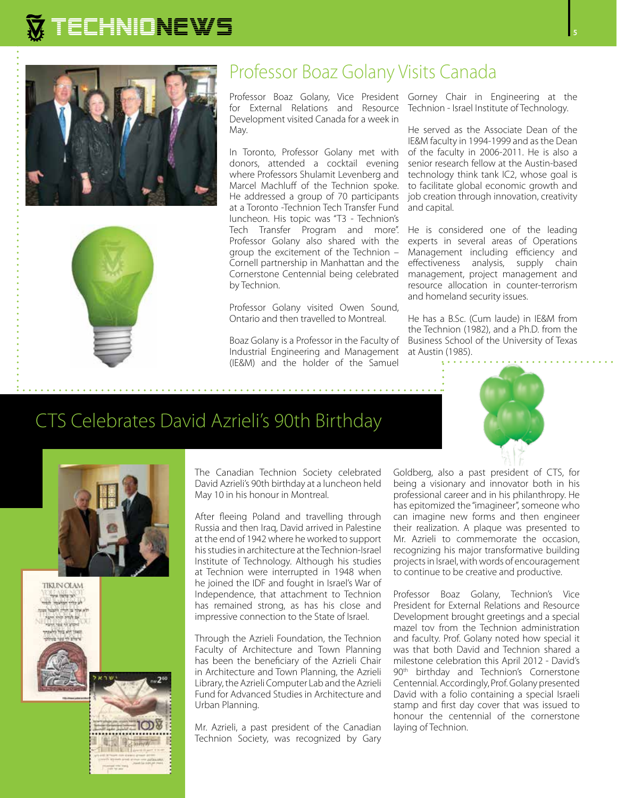



#### Professor Boaz Golany Visits Canada

for External Relations and Resource Technion - Israel Institute of Technology. Development visited Canada for a week in May.

In Toronto, Professor Golany met with donors, attended a cocktail evening where Professors Shulamit Levenberg and Marcel Machluff of the Technion spoke. He addressed a group of 70 participants at a Toronto -Technion Tech Transfer Fund luncheon. His topic was "T3 - Technion's Tech Transfer Program and more". Professor Golany also shared with the group the excitement of the Technion – Cornell partnership in Manhattan and the Cornerstone Centennial being celebrated by Technion.

Professor Golany visited Owen Sound, Ontario and then travelled to Montreal.

Boaz Golany is a Professor in the Faculty of Industrial Engineering and Management (IE&M) and the holder of the Samuel

Professor Boaz Golany, Vice President Gorney Chair in Engineering at the

He served as the Associate Dean of the IE&M faculty in 1994-1999 and as the Dean of the faculty in 2006-2011. He is also a senior research fellow at the Austin-based technology think tank IC2, whose goal is to facilitate global economic growth and job creation through innovation, creativity and capital.

He is considered one of the leading experts in several areas of Operations Management including efficiency and effectiveness analysis, supply chain management, project management and resource allocation in counter-terrorism and homeland security issues.

He has a B.Sc. (Cum laude) in IE&M from the Technion (1982), and a Ph.D. from the Business School of the University of Texas at Austin (1985).



### CTS Celebrates David Azrieli's 90th Birthday



The Canadian Technion Society celebrated David Azrieli's 90th birthday at a luncheon held May 10 in his honour in Montreal.

After fleeing Poland and travelling through Russia and then Iraq, David arrived in Palestine at the end of 1942 where he worked to support his studies in architecture at the Technion-Israel Institute of Technology. Although his studies at Technion were interrupted in 1948 when he joined the IDF and fought in Israel's War of Independence, that attachment to Technion has remained strong, as has his close and impressive connection to the State of Israel.

Through the Azrieli Foundation, the Technion Faculty of Architecture and Town Planning has been the beneficiary of the Azrieli Chair in Architecture and Town Planning, the Azrieli Library, the Azrieli Computer Lab and the Azrieli Fund for Advanced Studies in Architecture and Urban Planning.

Mr. Azrieli, a past president of the Canadian Technion Society, was recognized by Gary

Goldberg, also a past president of CTS, for being a visionary and innovator both in his professional career and in his philanthropy. He has epitomized the "imagineer", someone who can imagine new forms and then engineer their realization. A plaque was presented to Mr. Azrieli to commemorate the occasion, recognizing his major transformative building projects in Israel, with words of encouragement to continue to be creative and productive.

Professor Boaz Golany, Technion's Vice President for External Relations and Resource Development brought greetings and a special mazel tov from the Technion administration and faculty. Prof. Golany noted how special it was that both David and Technion shared a milestone celebration this April 2012 - David's 90<sup>th</sup> birthday and Technion's Cornerstone Centennial. Accordingly, Prof. Golany presented David with a folio containing a special Israeli stamp and first day cover that was issued to honour the centennial of the cornerstone laying of Technion.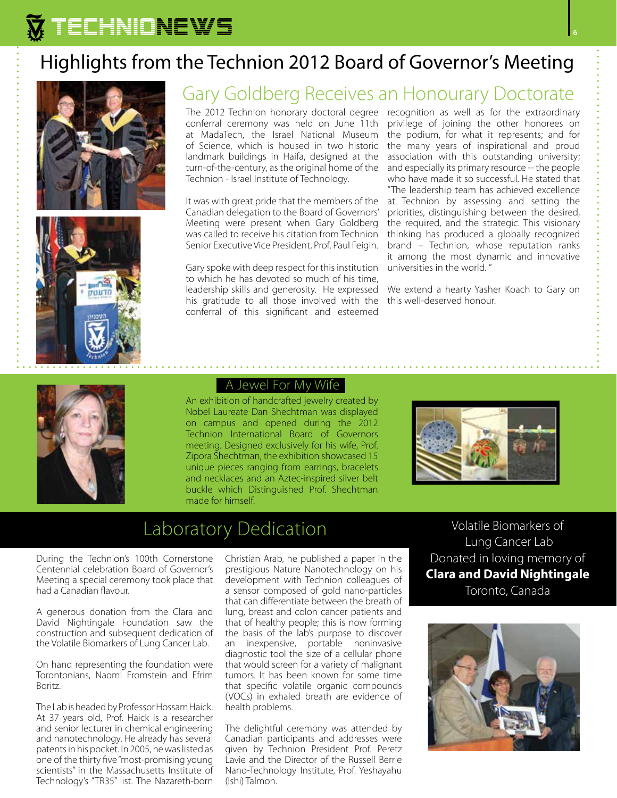### Highlights from the Technion 2012 Board of Governor's Meeting





### Gary Goldberg Receives an Honourary Doctorate

conferral ceremony was held on June 11th at MadaTech, the Israel National Museum of Science, which is housed in two historic landmark buildings in Haifa, designed at the turn-of-the-century, as the original home of the Technion - Israel Institute of Technology.

It was with great pride that the members of the Canadian delegation to the Board of Governors' Meeting were present when Gary Goldberg was called to receive his citation from Technion Senior Executive Vice President, Prof. Paul Feigin.

Gary spoke with deep respect for this institution to which he has devoted so much of his time, leadership skills and generosity. He expressed his gratitude to all those involved with the conferral of this significant and esteemed

The 2012 Technion honorary doctoral degree recognition as well as for the extraordinary privilege of joining the other honorees on the podium, for what it represents; and for the many years of inspirational and proud association with this outstanding university; and especially its primary resource -- the people who have made it so successful. He stated that "The leadership team has achieved excellence at Technion by assessing and setting the priorities, distinguishing between the desired, the required, and the strategic. This visionary thinking has produced a globally recognized brand – Technion, whose reputation ranks it among the most dynamic and innovative universities in the world. "

> We extend a hearty Yasher Koach to Gary on this well-deserved honour.



#### A Jewel For My Wife

An exhibition of handcrafted jewelry created by Nobel Laureate Dan Shechtman was displayed on campus and opened during the 2012 Technion International Board of Governors meeting. Designed exclusively for his wife, Prof. Zipora Shechtman, the exhibition showcased 15 unique pieces ranging from earrings, bracelets and necklaces and an Aztec-inspired silver belt buckle which Distinguished Prof. Shechtman made for himself.



### Laboratory Dedication

During the Technion's 100th Cornerstone Centennial celebration Board of Governor's Meeting a special ceremony took place that had a Canadian flavour.

A generous donation from the Clara and David Nightingale Foundation saw the construction and subsequent dedication of the Volatile Biomarkers of Lung Cancer Lab.

On hand representing the foundation were Torontonians, Naomi Fromstein and Efrim Boritz.

The Lab is headed by Professor Hossam Haick. At 37 years old, Prof. Haick is a researcher and senior lecturer in chemical engineering and nanotechnology. He already has several patents in his pocket. In 2005, he was listed as one of the thirty five "most-promising young scientists" in the Massachusetts Institute of Technology's "TR35" list. The Nazareth-born Christian Arab, he published a paper in the prestigious Nature Nanotechnology on his development with Technion colleagues of a sensor composed of gold nano-particles that can differentiate between the breath of lung, breast and colon cancer patients and that of healthy people; this is now forming the basis of the lab's purpose to discover an inexpensive, portable noninvasive diagnostic tool the size of a cellular phone that would screen for a variety of malignant tumors. It has been known for some time that specific volatile organic compounds (VOCs) in exhaled breath are evidence of health problems.

The delightful ceremony was attended by Canadian participants and addresses were given by Technion President Prof. Peretz Lavie and the Director of the Russell Berrie Nano-Technology Institute, Prof. Yeshayahu (Ishi) Talmon.

Volatile Biomarkers of Lung Cancer Lab Donated in loving memory of **Clara and David Nightingale** Toronto, Canada

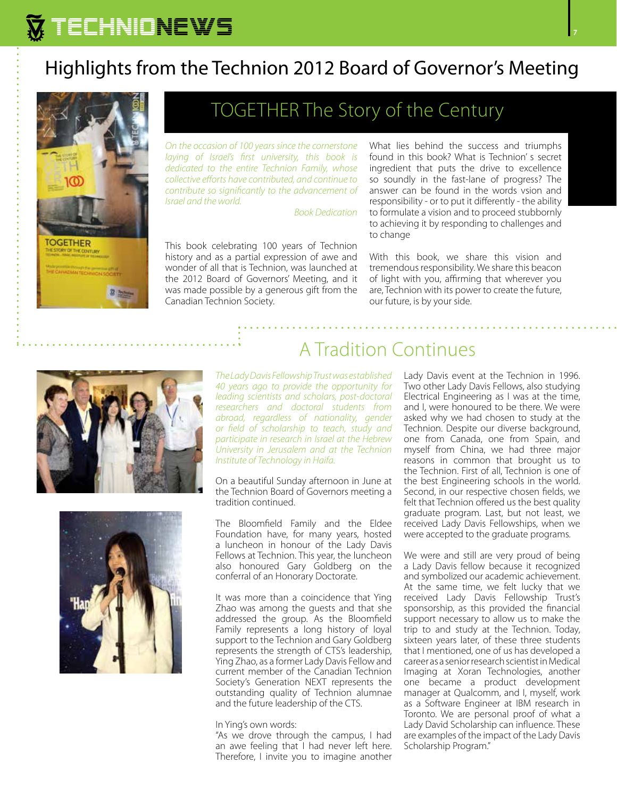### Highlights from the Technion 2012 Board of Governor's Meeting



#### TOGETHER The Story of the Century

*On the occasion of 100 years since the cornerstone laying of Israel's first university, this book is dedicated to the entire Technion Family, whose collective efforts have contributed, and continue to contribute so significantly to the advancement of Israel and the world.* 

*Book Dedication*

This book celebrating 100 years of Technion history and as a partial expression of awe and wonder of all that is Technion, was launched at the 2012 Board of Governors' Meeting, and it was made possible by a generous gift from the Canadian Technion Society.

What lies behind the success and triumphs found in this book? What is Technion' s secret ingredient that puts the drive to excellence so soundly in the fast-lane of progress? The answer can be found in the words vsion and responsibility - or to put it differently - the ability to formulate a vision and to proceed stubbornly to achieving it by responding to challenges and to change

With this book, we share this vision and tremendous responsibility. We share this beacon of light with you, affirming that wherever you are, Technion with its power to create the future, our future, is by your side.





### A Tradition Continues

*The Lady Davis Fellowship Trust was established 40 years ago to provide the opportunity for leading scientists and scholars, post-doctoral researchers and doctoral students from abroad, regardless of nationality, gender or field of scholarship to teach, study and participate in research in Israel at the Hebrew University in Jerusalem and at the Technion Institute of Technology in Haifa.* 

On a beautiful Sunday afternoon in June at the Technion Board of Governors meeting a tradition continued.

The Bloomfield Family and the Eldee Foundation have, for many years, hosted a luncheon in honour of the Lady Davis Fellows at Technion. This year, the luncheon also honoured Gary Goldberg on the conferral of an Honorary Doctorate.

It was more than a coincidence that Ying Zhao was among the guests and that she addressed the group. As the Bloomfield Family represents a long history of loyal support to the Technion and Gary Goldberg represents the strength of CTS's leadership, Ying Zhao, as a former Lady Davis Fellow and current member of the Canadian Technion Society's Generation NEXT represents the outstanding quality of Technion alumnae and the future leadership of the CTS.

#### In Ying's own words:

"As we drove through the campus, I had an awe feeling that I had never left here. Therefore, I invite you to imagine another Lady Davis event at the Technion in 1996. Two other Lady Davis Fellows, also studying Electrical Engineering as I was at the time, and I, were honoured to be there. We were asked why we had chosen to study at the Technion. Despite our diverse background, one from Canada, one from Spain, and myself from China, we had three major reasons in common that brought us to the Technion. First of all, Technion is one of the best Engineering schools in the world. Second, in our respective chosen fields, we felt that Technion offered us the best quality graduate program. Last, but not least, we received Lady Davis Fellowships, when we were accepted to the graduate programs.

We were and still are very proud of being a Lady Davis fellow because it recognized and symbolized our academic achievement. At the same time, we felt lucky that we received Lady Davis Fellowship Trust's sponsorship, as this provided the financial support necessary to allow us to make the trip to and study at the Technion. Today, sixteen years later, of these three students that I mentioned, one of us has developed a career as a senior research scientist in Medical Imaging at Xoran Technologies, another one became a product development manager at Qualcomm, and I, myself, work as a Software Engineer at IBM research in Toronto. We are personal proof of what a Lady David Scholarship can influence. These are examples of the impact of the Lady Davis Scholarship Program."